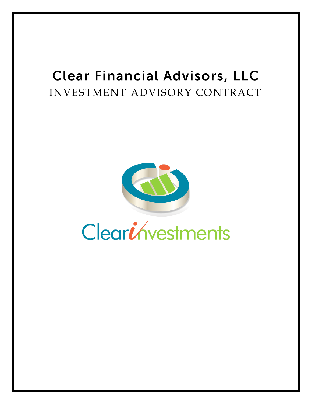# Clear Financial Advisors, LLC INVESTMENT ADVISORY CONTRACT



# Cleariávestments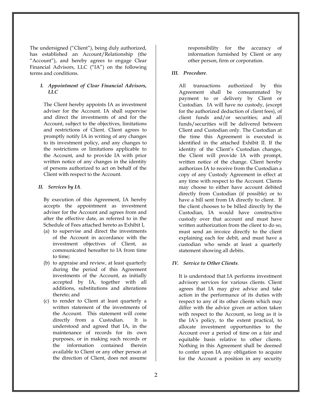The undersigned ("Client"), being duly authorized, has established an Account/Relationship (the "Account"), and hereby agrees to engage Clear Financial Advisors, LLC ("IA") on the following terms and conditions.

#### *I. Appointment of Clear Financial Advisors, LLC*

The Client hereby appoints IA as investment adviser for the Account. IA shall supervise and direct the investments of and for the Account, subject to the objectives, limitations and restrictions of Client. Client agrees to promptly notify IA in writing of any changes to its investment policy, and any changes to the restrictions or limitations applicable to the Account, and to provide IA with prior written notice of any changes in the identity of persons authorized to act on behalf of the Client with respect to the Account.

#### *II. Services by IA*.

By execution of this Agreement, IA hereby accepts the appointment as investment adviser for the Account and agrees from and after the effective date, as referred to in the Schedule of Fees attached hereto as Exhibit I,

- (a) to supervise and direct the investments of the Account in accordance with the investment objectives of Client, as communicated hereafter to IA from time to time;
- (b) to appraise and review, at least quarterly during the period of this Agreement investments of the Account, as initially accepted by IA, together with all additions, substitutions and alterations thereto; and
- (c) to render to Client at least quarterly a written statement of the investments of the Account. This statement will come directly from a Custodian. It is understood and agreed that IA, in the maintenance of records for its own purposes, or in making such records or the information contained therein available to Client or any other person at the direction of Client, does not assume

responsibility for the accuracy of information furnished by Client or any other person, firm or corporation.

#### *III. Procedure.*

All transactions authorized by this Agreement shall be consummated by payment to or delivery by Client or Custodian. IA will have no custody, (except for the authorized deduction of client fees), of client funds and/or securities; and all funds/securities will be delivered between Client and Custodian only. The Custodian at the time this Agreement is executed is identified in the attached Exhibit II. If the identity of the Client's Custodian changes, the Client will provide IA with prompt, written notice of the change. Client hereby authorizes IA to receive from the Custodian a copy of any Custody Agreement in effect at any time with respect to the Account. Clients may choose to either have account debited directly from Custodian (if possible) or to have a bill sent from IA directly to client. If the client chooses to be billed directly by the Custodian, IA would have constructive custody over that account and must have written authorization from the client to do so, must send an invoice directly to the client explaining each fee debit, and must have a custodian who sends at least a quarterly statement showing all debits.

#### *IV. Service to Other Clients*.

It is understood that IA performs investment advisory services for various clients. Client agrees that IA may give advice and take action in the performance of its duties with respect to any of its other clients which may differ with the advice given or action taken with respect to the Account, so long as it is the IA's policy, to the extent practical, to allocate investment opportunities to the Account over a period of time on a fair and equitable basis relative to other clients. Nothing in this Agreement shall be deemed to confer upon IA any obligation to acquire for the Account a position in any security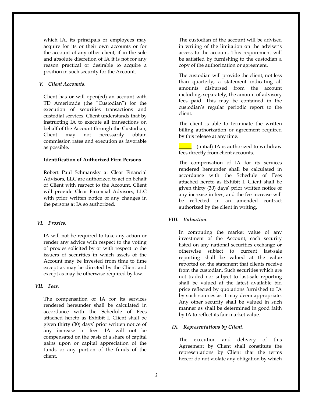which IA, its principals or employees may acquire for its or their own accounts or for the account of any other client, if in the sole and absolute discretion of IA it is not for any reason practical or desirable to acquire a position in such security for the Account.

#### *V. Client Accounts.*

Client has or will open(ed) an account with TD Ameritrade (the "Custodian") for the execution of securities transactions and custodial services. Client understands that by instructing IA to execute all transactions on behalf of the Account through the Custodian, Client may not necessarily obtain commission rates and execution as favorable as possible.

#### **Identification of Authorized Firm Persons**

Robert Paul Schmansky at Clear Financial Advisors, LLC are authorized to act on behalf of Client with respect to the Account. Client will provide Clear Financial Advisors, LLC with prior written notice of any changes in the persons at IA so authorized.

#### *VI. Proxies.*

IA will not be required to take any action or render any advice with respect to the voting of proxies solicited by or with respect to the issuers of securities in which assets of the Account may be invested from time to time except as may be directed by the Client and except as may be otherwise required by law.

#### *VII. Fees.*

The compensation of IA for its services rendered hereunder shall be calculated in accordance with the Schedule of Fees attached hereto as Exhibit I. Client shall be given thirty (30) days' prior written notice of any increase in fees. IA will not be compensated on the basis of a share of capital gains upon or capital appreciation of the funds or any portion of the funds of the client.

The custodian of the account will be advised in writing of the limitation on the adviser's access to the account. This requirement will be satisfied by furnishing to the custodian a copy of the authorization or agreement.

The custodian will provide the client, not less than quarterly, a statement indicating all amounts disbursed from the account including, separately, the amount of advisory fees paid. This may be contained in the custodian's regular periodic report to the client.

The client is able to terminate the written billing authorization or agreement required by this release at any time.

**EXECUTE:** (initial) IA is authorized to withdraw fees directly from client accounts.

The compensation of IA for its services rendered hereunder shall be calculated in accordance with the Schedule of Fees attached hereto as Exhibit I. Client shall be given thirty (30) days' prior written notice of any increase in fees, and the fee increase will be reflected in an amended contract authorized by the client in writing.

#### *VIII. Valuation.*

In computing the market value of any investment of the Account, each security listed on any national securities exchange or otherwise subject to current last-sale reporting shall be valued at the value reported on the statement that clients receive from the custodian. Such securities which are not traded nor subject to last-sale reporting shall be valued at the latest available bid price reflected by quotations furnished to IA by such sources as it may deem appropriate. Any other security shall be valued in such manner as shall be determined in good faith by IA to reflect its fair market value.

#### *IX. Representations by Client.*

The execution and delivery of this Agreement by Client shall constitute the representations by Client that the terms hereof do not violate any obligation by which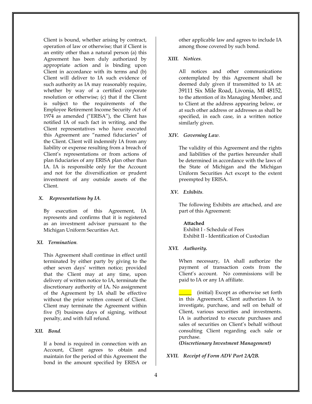Client is bound, whether arising by contract, operation of law or otherwise; that if Client is an entity other than a natural person (a) this Agreement has been duly authorized by appropriate action and is binding upon Client in accordance with its terms and (b) Client will deliver to IA such evidence of such authority as IA may reasonably require, whether by way of a certified corporate resolution or otherwise; (c) that if the Client is subject to the requirements of the Employee Retirement Income Security Act of 1974 as amended ("ERISA"), the Client has notified IA of such fact in writing, and the Client representatives who have executed this Agreement are "named fiduciaries" of the Client. Client will indemnify IA from any liability or expense resulting from a breach of Client's representations or from actions of plan fiduciaries of any ERISA plan other than IA. IA is responsible only for the Account and not for the diversification or prudent investment of any outside assets of the Client.

#### *X. Representations by IA.*

By execution of this Agreement, IA represents and confirms that it is registered as an investment advisor pursuant to the Michigan Uniform Securities Act.

#### *XI. Termination.*

This Agreement shall continue in effect until terminated by either party by giving to the other seven days' written notice; provided that the Client may at any time, upon delivery of written notice to IA, terminate the discretionary authority of IA*.* No assignment of the Agreement by IA shall be effective without the prior written consent of Client. Client may terminate the Agreement within five (5) business days of signing, without penalty, and with full refund.

#### *XII. Bond.*

If a bond is required in connection with an Account, Client agrees to obtain and maintain for the period of this Agreement the bond in the amount specified by ERISA or

other applicable law and agrees to include IA among those covered by such bond.

#### *XIII. Notices.*

All notices and other communications contemplated by this Agreement shall be deemed duly given if transmitted to IA at: 39111 Six Mile Road, Livonia, MI 48152, to the attention of its Managing Member, and to Client at the address appearing below, or at such other address or addresses as shall be specified, in each case, in a written notice similarly given.

#### *XIV. Governing Law.*

The validity of this Agreement and the rights and liabilities of the parties hereunder shall be determined in accordance with the laws of the State of Michigan and the Michigan Uniform Securities Act except to the extent preempted by ERISA.

#### *XV. Exhibits.*

The following Exhibits are attached, and are part of this Agreement:

#### **Attached**

Exhibit I - Schedule of Fees Exhibit II - Identification of Custodian

#### *XVI. Authority.*

When necessary, IA shall authorize the payment of transaction costs from the Client's account. No commissions will be paid to IA or any IA affiliate.

\_\_\_\_\_ (initial) Except as otherwise set forth in this Agreement, Client authorizes IA to investigate, purchase, and sell on behalf of Client, various securities and investments. IA is authorized to execute purchases and sales of securities on Client's behalf without consulting Client regarding each sale or purchase.

*(Discretionary Investment Management)*

*XVII. Receipt of Form ADV Part 2A/2B.*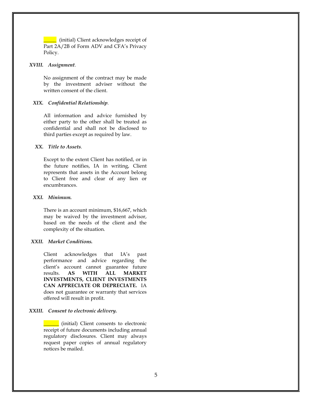**with the Unital** Client acknowledges receipt of Part 2A/2B of Form ADV and CFA's Privacy Policy.

#### *XVIII. Assignment.*

No assignment of the contract may be made by the investment adviser without the written consent of the client.

#### *XIX. Confidential Relationship.*

All information and advice furnished by either party to the other shall be treated as confidential and shall not be disclosed to third parties except as required by law.

#### *XX. Title to Assets.*

Except to the extent Client has notified, or in the future notifies, IA in writing, Client represents that assets in the Account belong to Client free and clear of any lien or encumbrances.

#### *XXI. Minimum.*

There is an account minimum, \$16,667, which may be waived by the investment advisor, based on the needs of the client and the complexity of the situation.

#### *XXII. Market Conditions.*

Client acknowledges that IA's past performance and advice regarding the client's account cannot guarantee future results. **AS WITH ALL MARKET INVESTMENTS, CLIENT INVESTMENTS CAN APPRECIATE OR DEPRECIATE.** IA does not guarantee or warranty that services offered will result in profit.

#### *XXIII. Consent to electronic delivery.*

\_\_\_\_\_\_ (initial) Client consents to electronic receipt of future documents including annual regulatory disclosures. Client may always request paper copies of annual regulatory notices be mailed.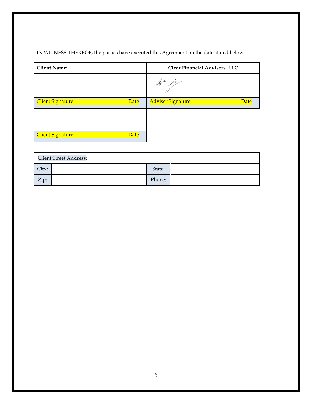## IN WITNESS THEREOF, the parties have executed this Agreement on the date stated below.

| <b>Client Name:</b>             | Clear Financial Advisors, LLC |  |  |
|---------------------------------|-------------------------------|--|--|
|                                 |                               |  |  |
| Client Signature<br>Date        | Adviser Signature<br>Date     |  |  |
|                                 |                               |  |  |
| <b>Client Signature</b><br>Date |                               |  |  |

|       | <b>Client Street Address:</b> |        |  |
|-------|-------------------------------|--------|--|
| City: |                               | State: |  |
| Zip:  |                               | Phone: |  |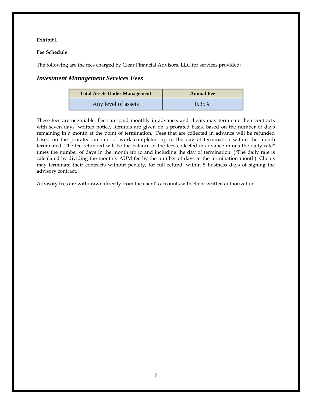#### **Exhibit I**

#### **Fee Schedule**

The following are the fees charged by Clear Financial Advisors, LLC for services provided:

### *Investment Management Services Fees*

| <b>Total Assets Under Management</b> | <b>Annual Fee</b> |  |  |
|--------------------------------------|-------------------|--|--|
| Any level of assets                  | 0.35%             |  |  |

These fees are negotiable. Fees are paid monthly in advance, and clients may terminate their contracts with seven days' written notice. Refunds are given on a prorated basis, based on the number of days remaining in a month at the point of termination. Fees that are collected in advance will be refunded based on the prorated amount of work completed up to the day of termination within the month terminated. The fee refunded will be the balance of the fees collected in advance minus the daily rate\* times the number of days in the month up to and including the day of termination. (\*The daily rate is calculated by dividing the monthly AUM fee by the number of days in the termination month). Clients may terminate their contracts without penalty, for full refund, within 5 business days of signing the advisory contract.

Advisory fees are withdrawn directly from the client's accounts with client written authorization.